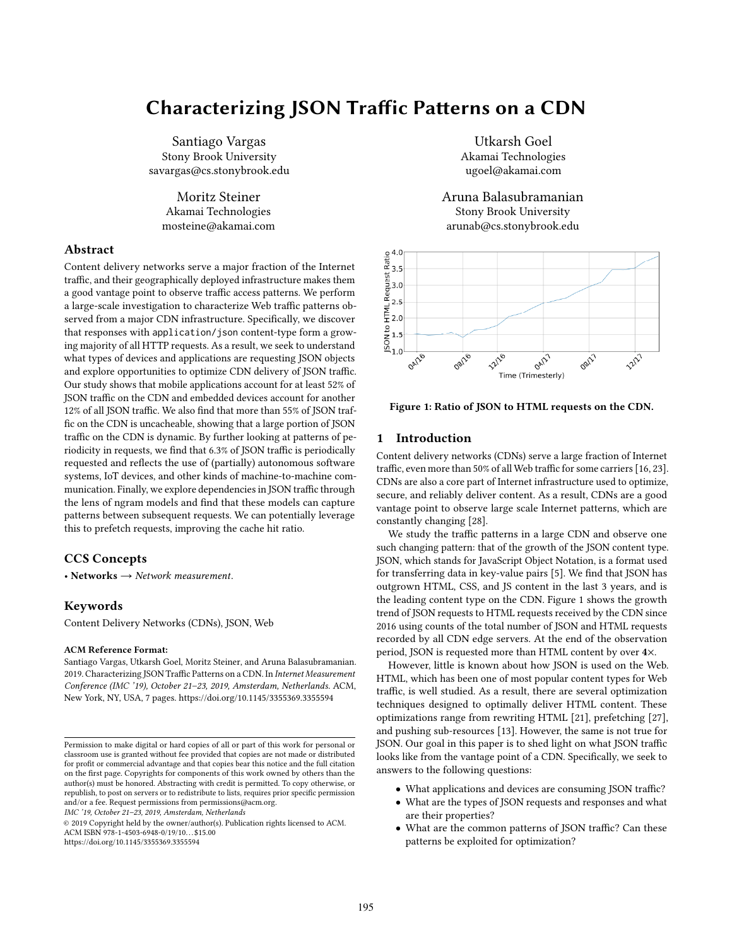# Characterizing JSON Trafic Paterns on a CDN

Santiago Vargas Stony Brook University savargas@cs.stonybrook.edu

Moritz Steiner Akamai Technologies mosteine@akamai.com

# Abstract

Content delivery networks serve a major fraction of the Internet traffic, and their geographically deployed infrastructure makes them a good vantage point to observe traffic access patterns. We perform a large-scale investigation to characterize Web traffic patterns observed from a major CDN infrastructure. Specifcally, we discover that responses with application/json content-type form a growing majority of all HTTP requests. As a result, we seek to understand what types of devices and applications are requesting JSON objects and explore opportunities to optimize CDN delivery of JSON traffic. Our study shows that mobile applications account for at least 52% of JSON traffic on the CDN and embedded devices account for another 12% of all JSON traffic. We also find that more than 55% of JSON traffic on the CDN is uncacheable, showing that a large portion of JSON traffic on the CDN is dynamic. By further looking at patterns of periodicity in requests, we find that 6.3% of JSON traffic is periodically requested and refects the use of (partially) autonomous software systems, IoT devices, and other kinds of machine-to-machine communication. Finally, we explore dependencies in JSON traffic through the lens of ngram models and fnd that these models can capture patterns between subsequent requests. We can potentially leverage this to prefetch requests, improving the cache hit ratio.

# CCS Concepts

• Networks → *Network measurement*.

# Keywords

Content Delivery Networks (CDNs), JSON, Web

#### ACM Reference Format:

Santiago Vargas, Utkarsh Goel, Moritz Steiner, and Aruna Balasubramanian. 2019. Characterizing JSON Traffic Patterns on a CDN. In *Internet Measurement Conference (IMC '19), October 21–23, 2019, Amsterdam, Netherlands.* ACM, New York, NY, USA, 7 pages. https://doi.org/10.1145/3355369.3355594

*IMC '19, October 21–23, 2019, Amsterdam, Netherlands*

© 2019 Copyright held by the owner/author(s). Publication rights licensed to ACM. ACM ISBN 978-1-4503-6948-0/19/10. . . \$15.00 https://doi.org/10.1145/3355369.3355594

Utkarsh Goel Akamai Technologies ugoel@akamai.com

Aruna Balasubramanian Stony Brook University arunab@cs.stonybrook.edu



Figure 1: Ratio of JSON to HTML requests on the CDN.

## 1 Introduction

Content delivery networks (CDNs) serve a large fraction of Internet traffic, even more than 50% of all Web traffic for some carriers [16, 23]. CDNs are also a core part of Internet infrastructure used to optimize, secure, and reliably deliver content. As a result, CDNs are a good vantage point to observe large scale Internet patterns, which are constantly changing [28].

We study the traffic patterns in a large CDN and observe one such changing pattern: that of the growth of the JSON content type. JSON, which stands for JavaScript Object Notation, is a format used for transferring data in key-value pairs [5]. We fnd that JSON has outgrown HTML, CSS, and JS content in the last 3 years, and is the leading content type on the CDN. Figure 1 shows the growth trend of JSON requests to HTML requests received by the CDN since 2016 using counts of the total number of JSON and HTML requests recorded by all CDN edge servers. At the end of the observation period, JSON is requested more than HTML content by over 4×.

However, little is known about how JSON is used on the Web. HTML, which has been one of most popular content types for Web traffic, is well studied. As a result, there are several optimization techniques designed to optimally deliver HTML content. These optimizations range from rewriting HTML [21], prefetching [27], and pushing sub-resources [13]. However, the same is not true for JSON. Our goal in this paper is to shed light on what JSON traffic looks like from the vantage point of a CDN. Specifcally, we seek to answers to the following questions:

- What applications and devices are consuming JSON traffic?
- What are the types of JSON requests and responses and what are their properties?
- What are the common patterns of JSON traffic? Can these patterns be exploited for optimization?

Permission to make digital or hard copies of all or part of this work for personal or classroom use is granted without fee provided that copies are not made or distributed for proft or commercial advantage and that copies bear this notice and the full citation on the frst page. Copyrights for components of this work owned by others than the author(s) must be honored. Abstracting with credit is permitted. To copy otherwise, or republish, to post on servers or to redistribute to lists, requires prior specifc permission and/or a fee. Request permissions from permissions@acm.org.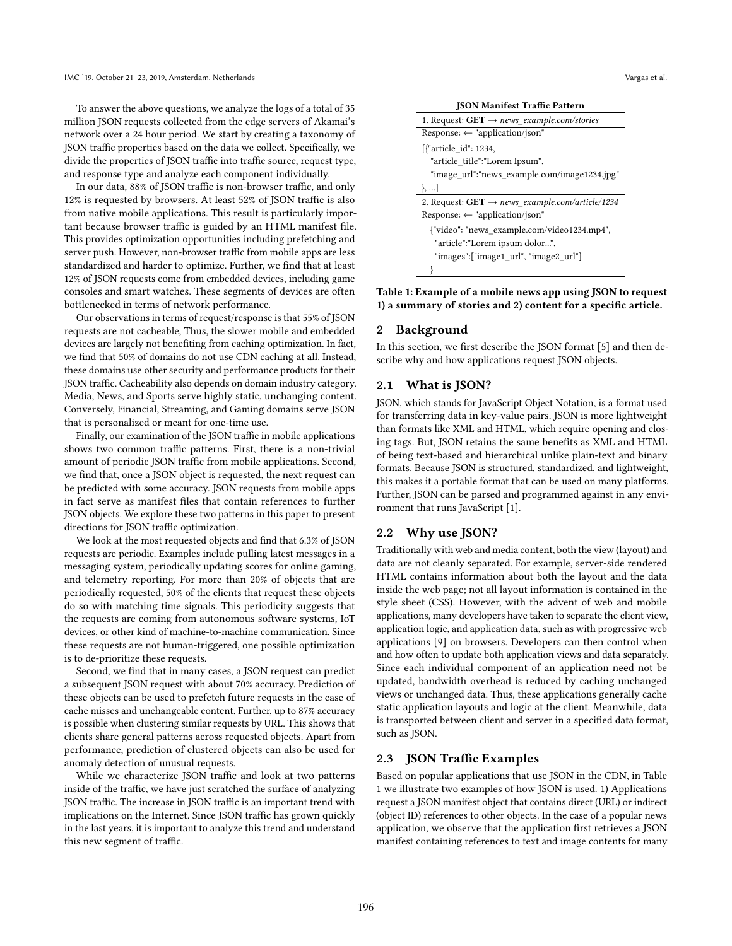To answer the above questions, we analyze the logs of a total of 35 million JSON requests collected from the edge servers of Akamai's network over a 24 hour period. We start by creating a taxonomy of JSON traffic properties based on the data we collect. Specifically, we divide the properties of JSON traffic into traffic source, request type, and response type and analyze each component individually.

In our data, 88% of JSON traffic is non-browser traffic, and only 12% is requested by browsers. At least 52% of JSON traffic is also from native mobile applications. This result is particularly important because browser traffic is guided by an HTML manifest file. This provides optimization opportunities including prefetching and server push. However, non-browser traffic from mobile apps are less standardized and harder to optimize. Further, we fnd that at least 12% of JSON requests come from embedded devices, including game consoles and smart watches. These segments of devices are often bottlenecked in terms of network performance.

Our observations in terms of request/response is that 55% of JSON requests are not cacheable, Thus, the slower mobile and embedded devices are largely not benefting from caching optimization. In fact, we fnd that 50% of domains do not use CDN caching at all. Instead, these domains use other security and performance products for their JSON traffic. Cacheability also depends on domain industry category. Media, News, and Sports serve highly static, unchanging content. Conversely, Financial, Streaming, and Gaming domains serve JSON that is personalized or meant for one-time use.

Finally, our examination of the JSON traffic in mobile applications shows two common traffic patterns. First, there is a non-trivial amount of periodic JSON traffic from mobile applications. Second, we fnd that, once a JSON object is requested, the next request can be predicted with some accuracy. JSON requests from mobile apps in fact serve as manifest fles that contain references to further JSON objects. We explore these two patterns in this paper to present directions for JSON traffic optimization.

We look at the most requested objects and fnd that 6.3% of JSON requests are periodic. Examples include pulling latest messages in a messaging system, periodically updating scores for online gaming, and telemetry reporting. For more than 20% of objects that are periodically requested, 50% of the clients that request these objects do so with matching time signals. This periodicity suggests that the requests are coming from autonomous software systems, IoT devices, or other kind of machine-to-machine communication. Since these requests are not human-triggered, one possible optimization is to de-prioritize these requests.

Second, we fnd that in many cases, a JSON request can predict a subsequent JSON request with about 70% accuracy. Prediction of these objects can be used to prefetch future requests in the case of cache misses and unchangeable content. Further, up to 87% accuracy is possible when clustering similar requests by URL. This shows that clients share general patterns across requested objects. Apart from performance, prediction of clustered objects can also be used for anomaly detection of unusual requests.

While we characterize JSON traffic and look at two patterns inside of the traffic, we have just scratched the surface of analyzing JSON traffic. The increase in JSON traffic is an important trend with implications on the Internet. Since JSON traffic has grown quickly in the last years, it is important to analyze this trend and understand this new segment of traffic.

| <b>JSON Manifest Traffic Pattern</b>                          |  |  |
|---------------------------------------------------------------|--|--|
| 1. Request: $GET \rightarrow news \ example.com/stories$      |  |  |
| Response: $\leftarrow$ "application/json"                     |  |  |
| [{"article id": 1234,                                         |  |  |
| "article title":"Lorem Ipsum",                                |  |  |
| "image url":"news example.com/image1234.jpg"                  |  |  |
| $\vert , \ldots \vert$                                        |  |  |
| 2. Request: $GET \rightarrow news \ example.com/article/1234$ |  |  |
| Response: $\leftarrow$ "application/json"                     |  |  |
| {"video": "news example.com/video1234.mp4",                   |  |  |
| "article":"Lorem ipsum dolor",                                |  |  |
| "images":["image1 url", "image2 url"]                         |  |  |
|                                                               |  |  |

Table 1: Example of a mobile news app using JSON to request 1) a summary of stories and 2) content for a specifc article.

#### 2 Background

In this section, we frst describe the JSON format [5] and then describe why and how applications request JSON objects.

## 2.1 What is JSON?

JSON, which stands for JavaScript Object Notation, is a format used for transferring data in key-value pairs. JSON is more lightweight than formats like XML and HTML, which require opening and closing tags. But, JSON retains the same benefts as XML and HTML of being text-based and hierarchical unlike plain-text and binary formats. Because JSON is structured, standardized, and lightweight, this makes it a portable format that can be used on many platforms. Further, JSON can be parsed and programmed against in any environment that runs JavaScript [1].

## 2.2 Why use JSON?

Traditionally with web and media content, both the view (layout) and data are not cleanly separated. For example, server-side rendered HTML contains information about both the layout and the data inside the web page; not all layout information is contained in the style sheet (CSS). However, with the advent of web and mobile applications, many developers have taken to separate the client view, application logic, and application data, such as with progressive web applications [9] on browsers. Developers can then control when and how often to update both application views and data separately. Since each individual component of an application need not be updated, bandwidth overhead is reduced by caching unchanged views or unchanged data. Thus, these applications generally cache static application layouts and logic at the client. Meanwhile, data is transported between client and server in a specifed data format, such as JSON.

#### 2.3 JSON Traffic Examples

Based on popular applications that use JSON in the CDN, in Table 1 we illustrate two examples of how JSON is used. 1) Applications request a JSON manifest object that contains direct (URL) or indirect (object ID) references to other objects. In the case of a popular news application, we observe that the application frst retrieves a JSON manifest containing references to text and image contents for many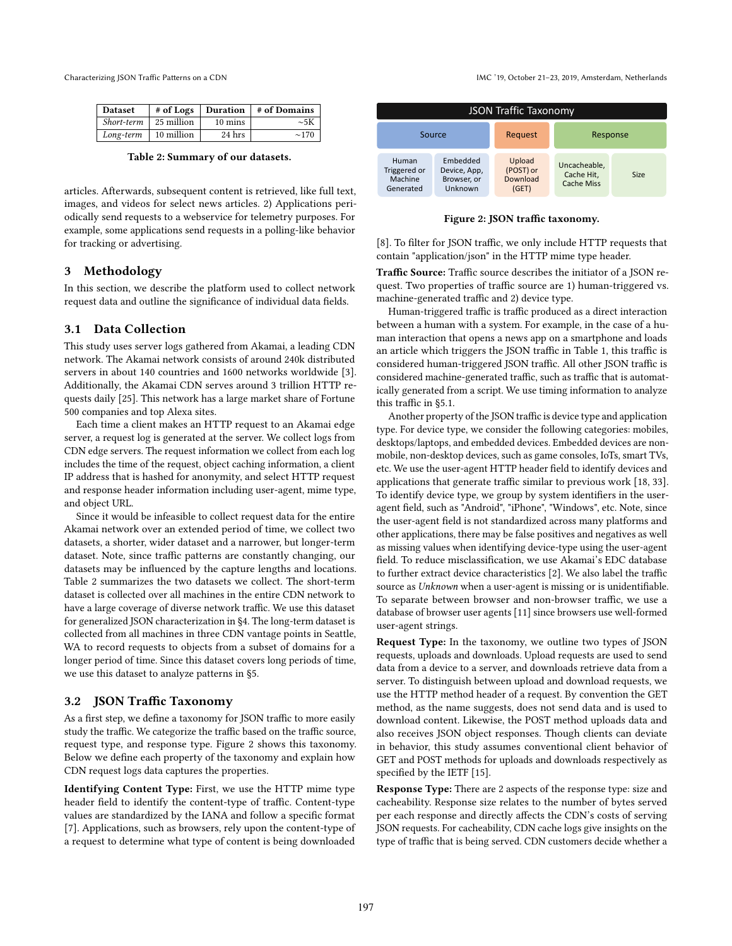| <b>Dataset</b>                 |            |                   | $#$ of Logs   Duration   $#$ of Domains |
|--------------------------------|------------|-------------------|-----------------------------------------|
| <i>Short-term</i>   25 million |            | $10 \text{ mins}$ | $\sim 5K$                               |
| Long-term                      | 10 million | 24 hrs            | $\sim$ 170                              |

Table 2: Summary of our datasets.

articles. Afterwards, subsequent content is retrieved, like full text, images, and videos for select news articles. 2) Applications periodically send requests to a webservice for telemetry purposes. For example, some applications send requests in a polling-like behavior for tracking or advertising.

#### 3 Methodology

In this section, we describe the platform used to collect network request data and outline the signifcance of individual data felds.

## 3.1 Data Collection

This study uses server logs gathered from Akamai, a leading CDN network. The Akamai network consists of around 240k distributed servers in about 140 countries and 1600 networks worldwide [3]. Additionally, the Akamai CDN serves around 3 trillion HTTP requests daily [25]. This network has a large market share of Fortune 500 companies and top Alexa sites.

Each time a client makes an HTTP request to an Akamai edge server, a request log is generated at the server. We collect logs from CDN edge servers. The request information we collect from each log includes the time of the request, object caching information, a client IP address that is hashed for anonymity, and select HTTP request and response header information including user-agent, mime type, and object URL.

Since it would be infeasible to collect request data for the entire Akamai network over an extended period of time, we collect two datasets, a shorter, wider dataset and a narrower, but longer-term dataset. Note, since traffic patterns are constantly changing, our datasets may be infuenced by the capture lengths and locations. Table 2 summarizes the two datasets we collect. The short-term dataset is collected over all machines in the entire CDN network to have a large coverage of diverse network traffic. We use this dataset for generalized JSON characterization in §4. The long-term dataset is collected from all machines in three CDN vantage points in Seattle, WA to record requests to objects from a subset of domains for a longer period of time. Since this dataset covers long periods of time, we use this dataset to analyze patterns in §5.

### 3.2 JSON Traffic Taxonomy

As a first step, we define a taxonomy for JSON traffic to more easily study the traffic. We categorize the traffic based on the traffic source, request type, and response type. Figure 2 shows this taxonomy. Below we defne each property of the taxonomy and explain how CDN request logs data captures the properties.

Identifying Content Type: First, we use the HTTP mime type header field to identify the content-type of traffic. Content-type values are standardized by the IANA and follow a specifc format [7]. Applications, such as browsers, rely upon the content-type of a request to determine what type of content is being downloaded

Characterizing JSON Trafic Paterns on a CDN IMC '19, October 21–23, 2019, Amsterdam, Netherlands

| <b>JSON Traffic Taxonomy</b>                  |                                                    |                                          |                                          |             |  |
|-----------------------------------------------|----------------------------------------------------|------------------------------------------|------------------------------------------|-------------|--|
| Source                                        |                                                    | Request                                  | Response                                 |             |  |
| Human<br>Triggered or<br>Machine<br>Generated | Embedded<br>Device, App,<br>Browser, or<br>Unknown | Upload<br>(POST) or<br>Download<br>(GET) | Uncacheable.<br>Cache Hit,<br>Cache Miss | <b>Size</b> |  |

Figure 2: JSON traffic taxonomy.

[8]. To filter for JSON traffic, we only include HTTP requests that contain "application/json" in the HTTP mime type header.

Traffic Source: Traffic source describes the initiator of a JSON request. Two properties of traffic source are 1) human-triggered vs. machine-generated traffic and 2) device type.

Human-triggered traffic is traffic produced as a direct interaction between a human with a system. For example, in the case of a human interaction that opens a news app on a smartphone and loads an article which triggers the JSON traffic in Table 1, this traffic is considered human-triggered JSON traffic. All other JSON traffic is considered machine-generated traffic, such as traffic that is automatically generated from a script. We use timing information to analyze this traffic in §5.1.

Another property of the JSON traffic is device type and application type. For device type, we consider the following categories: mobiles, desktops/laptops, and embedded devices. Embedded devices are nonmobile, non-desktop devices, such as game consoles, IoTs, smart TVs, etc. We use the user-agent HTTP header feld to identify devices and applications that generate traffic similar to previous work  $[18, 33]$ . To identify device type, we group by system identifers in the useragent feld, such as "Android", "iPhone", "Windows", etc. Note, since the user-agent feld is not standardized across many platforms and other applications, there may be false positives and negatives as well as missing values when identifying device-type using the user-agent feld. To reduce misclassifcation, we use Akamai's EDC database to further extract device characteristics [2]. We also label the traffic source as *Unknown* when a user-agent is missing or is unidentifable. To separate between browser and non-browser traffic, we use a database of browser user agents [11] since browsers use well-formed user-agent strings.

Request Type: In the taxonomy, we outline two types of JSON requests, uploads and downloads. Upload requests are used to send data from a device to a server, and downloads retrieve data from a server. To distinguish between upload and download requests, we use the HTTP method header of a request. By convention the GET method, as the name suggests, does not send data and is used to download content. Likewise, the POST method uploads data and also receives JSON object responses. Though clients can deviate in behavior, this study assumes conventional client behavior of GET and POST methods for uploads and downloads respectively as specifed by the IETF [15].

Response Type: There are 2 aspects of the response type: size and cacheability. Response size relates to the number of bytes served per each response and directly afects the CDN's costs of serving JSON requests. For cacheability, CDN cache logs give insights on the type of traffic that is being served. CDN customers decide whether a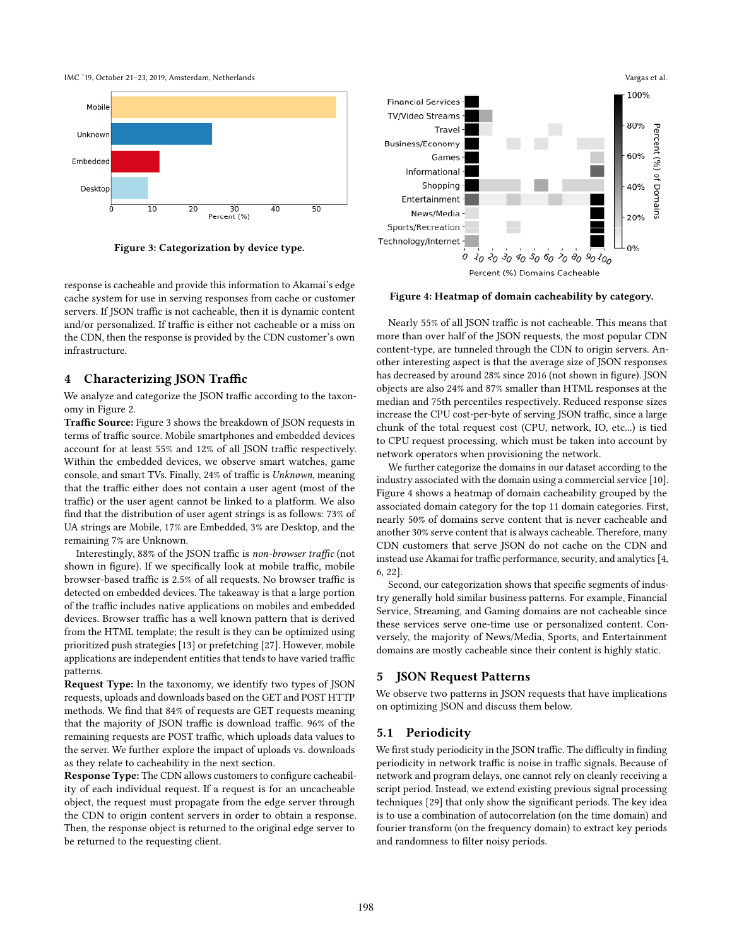

Figure 3: Categorization by device type.

response is cacheable and provide this information to Akamai's edge cache system for use in serving responses from cache or customer servers. If JSON traffic is not cacheable, then it is dynamic content and/or personalized. If traffic is either not cacheable or a miss on the CDN, then the response is provided by the CDN customer's own infrastructure.

## 4 Characterizing JSON Traffic

We analyze and categorize the JSON traffic according to the taxonomy in Figure 2.

Traffic Source: Figure 3 shows the breakdown of JSON requests in terms of traffic source. Mobile smartphones and embedded devices account for at least 55% and 12% of all JSON traffic respectively. Within the embedded devices, we observe smart watches, game console, and smart TVs. Finally, 24% of traffic is *Unknown*, meaning that the traffic either does not contain a user agent (most of the traffic) or the user agent cannot be linked to a platform. We also fnd that the distribution of user agent strings is as follows: 73% of UA strings are Mobile, 17% are Embedded, 3% are Desktop, and the remaining 7% are Unknown.

Interestingly, 88% of the JSON traffic is *non-browser traffic* (not shown in figure). If we specifically look at mobile traffic, mobile browser-based traffic is 2.5% of all requests. No browser traffic is detected on embedded devices. The takeaway is that a large portion of the traffic includes native applications on mobiles and embedded devices. Browser traffic has a well known pattern that is derived from the HTML template; the result is they can be optimized using prioritized push strategies [13] or prefetching [27]. However, mobile applications are independent entities that tends to have varied traffic patterns.

Request Type: In the taxonomy, we identify two types of JSON requests, uploads and downloads based on the GET and POST HTTP methods. We fnd that 84% of requests are GET requests meaning that the majority of JSON traffic is download traffic. 96% of the remaining requests are POST traffic, which uploads data values to the server. We further explore the impact of uploads vs. downloads as they relate to cacheability in the next section.

Response Type: The CDN allows customers to confgure cacheability of each individual request. If a request is for an uncacheable object, the request must propagate from the edge server through the CDN to origin content servers in order to obtain a response. Then, the response object is returned to the original edge server to be returned to the requesting client.



Figure 4: Heatmap of domain cacheability by category.

Nearly 55% of all JSON traffic is not cacheable. This means that more than over half of the JSON requests, the most popular CDN content-type, are tunneled through the CDN to origin servers. Another interesting aspect is that the average size of JSON responses has decreased by around 28% since 2016 (not shown in figure). JSON objects are also 24% and 87% smaller than HTML responses at the median and 75th percentiles respectively. Reduced response sizes increase the CPU cost-per-byte of serving JSON traffic, since a large chunk of the total request cost (CPU, network, IO, etc...) is tied to CPU request processing, which must be taken into account by network operators when provisioning the network.

We further categorize the domains in our dataset according to the industry associated with the domain using a commercial service [10]. Figure 4 shows a heatmap of domain cacheability grouped by the associated domain category for the top 11 domain categories. First, nearly 50% of domains serve content that is never cacheable and another 30% serve content that is always cacheable. Therefore, many CDN customers that serve JSON do not cache on the CDN and instead use Akamai for traffic performance, security, and analytics [4, 6, 22].

Second, our categorization shows that specifc segments of industry generally hold similar business patterns. For example, Financial Service, Streaming, and Gaming domains are not cacheable since these services serve one-time use or personalized content. Conversely, the majority of News/Media, Sports, and Entertainment domains are mostly cacheable since their content is highly static.

# 5 JSON Request Patterns

We observe two patterns in JSON requests that have implications on optimizing JSON and discuss them below.

## 5.1 Periodicity

We first study periodicity in the JSON traffic. The difficulty in finding periodicity in network traffic is noise in traffic signals. Because of network and program delays, one cannot rely on cleanly receiving a script period. Instead, we extend existing previous signal processing techniques [29] that only show the signifcant periods. The key idea is to use a combination of autocorrelation (on the time domain) and fourier transform (on the frequency domain) to extract key periods and randomness to flter noisy periods.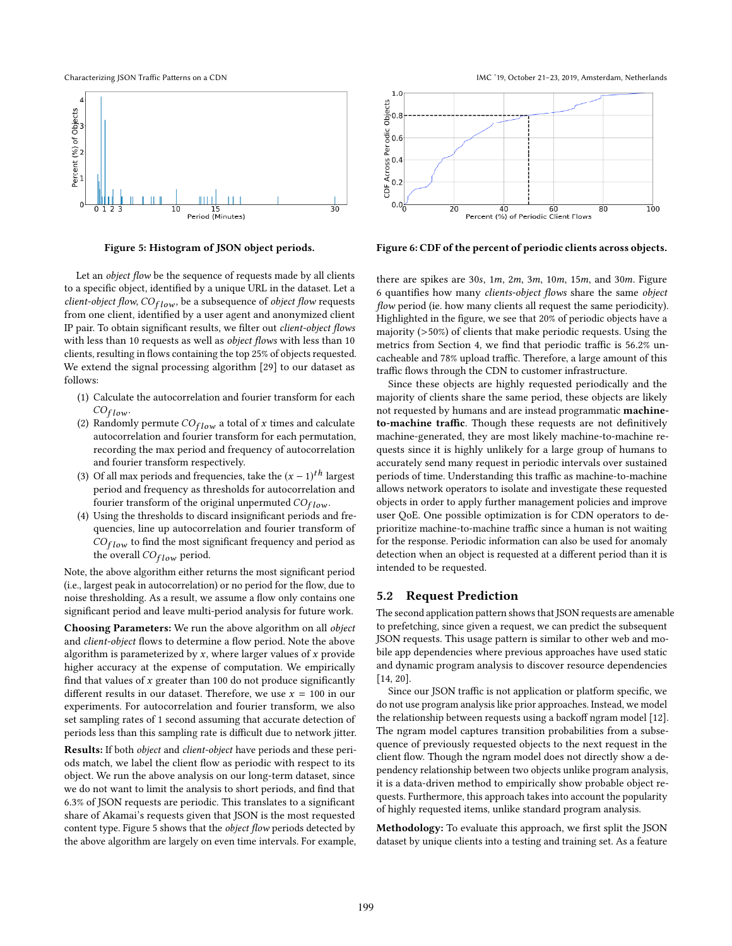

Figure 5: Histogram of JSON object periods.

Let an *object fow* be the sequence of requests made by all clients to a specifc object, identifed by a unique URL in the dataset. Let a *client-object fow*, *COf low* , be a subsequence of *object fow* requests from one client, identifed by a user agent and anonymized client IP pair. To obtain signifcant results, we flter out *client-object fows* with less than 10 requests as well as *object fows* with less than 10 clients, resulting in flows containing the top 25% of objects requested. We extend the signal processing algorithm [29] to our dataset as follows:

- (1) Calculate the autocorrelation and fourier transform for each *COf low* .
- (2) Randomly permute  $CO_{flow}$  a total of *x* times and calculate autocorrelation and fourier transform for each permutation, recording the max period and frequency of autocorrelation and fourier transform respectively.
- (3) Of all max periods and frequencies, take the  $(x 1)^{th}$  largest period and frequency as thresholds for autocorrelation and fourier transform of the original unpermuted *COf low* .
- (4) Using the thresholds to discard insignifcant periods and frequencies, line up autocorrelation and fourier transform of *COf low* to fnd the most signifcant frequency and period as the overall *COf low* period.

Note, the above algorithm either returns the most signifcant period (i.e., largest peak in autocorrelation) or no period for the flow, due to noise thresholding. As a result, we assume a flow only contains one signifcant period and leave multi-period analysis for future work.

Choosing Parameters: We run the above algorithm on all *object* and *client-object* flows to determine a flow period. Note the above algorithm is parameterized by *x*, where larger values of *x* provide higher accuracy at the expense of computation. We empirically fnd that values of *x* greater than 100 do not produce signifcantly different results in our dataset. Therefore, we use  $x = 100$  in our experiments. For autocorrelation and fourier transform, we also set sampling rates of 1 second assuming that accurate detection of periods less than this sampling rate is difficult due to network jitter.

Results: If both *object* and *client-object* have periods and these periods match, we label the client fow as periodic with respect to its object. We run the above analysis on our long-term dataset, since we do not want to limit the analysis to short periods, and fnd that 6.3% of JSON requests are periodic. This translates to a signifcant share of Akamai's requests given that JSON is the most requested content type. Figure 5 shows that the *object fow* periods detected by the above algorithm are largely on even time intervals. For example,





Figure 6: CDF of the percent of periodic clients across objects.

there are spikes are 30*s*, 1*m*, 2*m*, 3*m*, 10*m*, 15*m*, and 30*m*. Figure 6 quantifes how many *clients-object fows* share the same *object flow* period (ie. how many clients all request the same periodicity). Highlighted in the fgure, we see that 20% of periodic objects have a majority (>50%) of clients that make periodic requests. Using the metrics from Section 4, we find that periodic traffic is 56.2% uncacheable and 78% upload traffic. Therefore, a large amount of this traffic flows through the CDN to customer infrastructure.

Since these objects are highly requested periodically and the majority of clients share the same period, these objects are likely not requested by humans and are instead programmatic machineto-machine traffic. Though these requests are not definitively machine-generated, they are most likely machine-to-machine requests since it is highly unlikely for a large group of humans to accurately send many request in periodic intervals over sustained periods of time. Understanding this traffic as machine-to-machine allows network operators to isolate and investigate these requested objects in order to apply further management policies and improve user QoE. One possible optimization is for CDN operators to deprioritize machine-to-machine traffic since a human is not waiting for the response. Periodic information can also be used for anomaly detection when an object is requested at a diferent period than it is intended to be requested.

#### 5.2 Request Prediction

The second application pattern shows that JSON requests are amenable to prefetching, since given a request, we can predict the subsequent JSON requests. This usage pattern is similar to other web and mobile app dependencies where previous approaches have used static and dynamic program analysis to discover resource dependencies [14, 20].

Since our JSON traffic is not application or platform specific, we do not use program analysis like prior approaches. Instead, we model the relationship between requests using a backoff ngram model [12]. The ngram model captures transition probabilities from a subsequence of previously requested objects to the next request in the client fow. Though the ngram model does not directly show a dependency relationship between two objects unlike program analysis, it is a data-driven method to empirically show probable object requests. Furthermore, this approach takes into account the popularity of highly requested items, unlike standard program analysis.

Methodology: To evaluate this approach, we frst split the JSON dataset by unique clients into a testing and training set. As a feature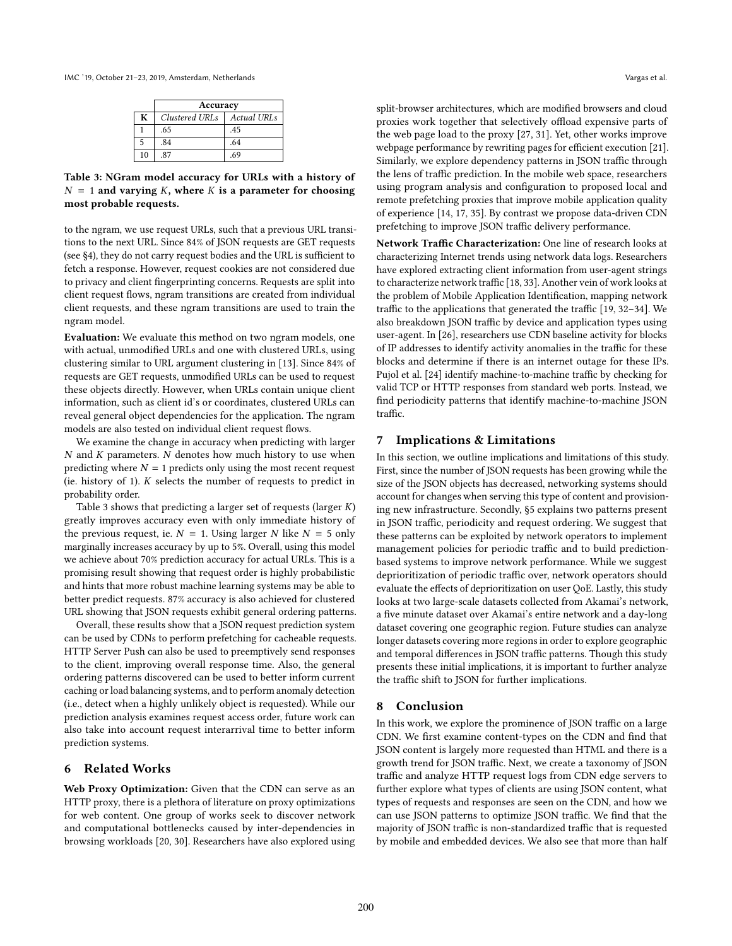| IMC '19. October 21-23, 2019. Amsterdam, Netherlands | Vargas et al. |
|------------------------------------------------------|---------------|
|------------------------------------------------------|---------------|

|    | Accuracy       |                |  |  |  |
|----|----------------|----------------|--|--|--|
| K  | Clustered URLs | $A$ ctual URLs |  |  |  |
|    | .65            | .45            |  |  |  |
|    | .84            | .64            |  |  |  |
| 10 | 87             | 69             |  |  |  |

Table 3: NGram model accuracy for URLs with a history of  $N = 1$  and varying *K*, where *K* is a parameter for choosing most probable requests.

to the ngram, we use request URLs, such that a previous URL transitions to the next URL. Since 84% of JSON requests are GET requests (see §4), they do not carry request bodies and the URL is sufficient to fetch a response. However, request cookies are not considered due to privacy and client fngerprinting concerns. Requests are split into client request fows, ngram transitions are created from individual client requests, and these ngram transitions are used to train the ngram model.

Evaluation: We evaluate this method on two ngram models, one with actual, unmodifed URLs and one with clustered URLs, using clustering similar to URL argument clustering in [13]. Since 84% of requests are GET requests, unmodifed URLs can be used to request these objects directly. However, when URLs contain unique client information, such as client id's or coordinates, clustered URLs can reveal general object dependencies for the application. The ngram models are also tested on individual client request flows.

We examine the change in accuracy when predicting with larger *N* and *K* parameters. *N* denotes how much history to use when predicting where  $N = 1$  predicts only using the most recent request (ie. history of 1). *K* selects the number of requests to predict in probability order.

Table 3 shows that predicting a larger set of requests (larger *K*) greatly improves accuracy even with only immediate history of the previous request, ie.  $N = 1$ . Using larger *N* like  $N = 5$  only marginally increases accuracy by up to 5%. Overall, using this model we achieve about 70% prediction accuracy for actual URLs. This is a promising result showing that request order is highly probabilistic and hints that more robust machine learning systems may be able to better predict requests. 87% accuracy is also achieved for clustered URL showing that JSON requests exhibit general ordering patterns.

Overall, these results show that a JSON request prediction system can be used by CDNs to perform prefetching for cacheable requests. HTTP Server Push can also be used to preemptively send responses to the client, improving overall response time. Also, the general ordering patterns discovered can be used to better inform current caching or load balancing systems, and to perform anomaly detection (i.e., detect when a highly unlikely object is requested). While our prediction analysis examines request access order, future work can also take into account request interarrival time to better inform prediction systems.

#### 6 Related Works

Web Proxy Optimization: Given that the CDN can serve as an HTTP proxy, there is a plethora of literature on proxy optimizations for web content. One group of works seek to discover network and computational bottlenecks caused by inter-dependencies in browsing workloads [20, 30]. Researchers have also explored using split-browser architectures, which are modifed browsers and cloud proxies work together that selectively offload expensive parts of the web page load to the proxy [27, 31]. Yet, other works improve webpage performance by rewriting pages for efficient execution [21].

Similarly, we explore dependency patterns in JSON traffic through the lens of traffic prediction. In the mobile web space, researchers using program analysis and confguration to proposed local and remote prefetching proxies that improve mobile application quality of experience [14, 17, 35]. By contrast we propose data-driven CDN prefetching to improve JSON traffic delivery performance.

Network Traffic Characterization: One line of research looks at characterizing Internet trends using network data logs. Researchers have explored extracting client information from user-agent strings to characterize network traffic [18, 33]. Another vein of work looks at the problem of Mobile Application Identifcation, mapping network traffic to the applications that generated the traffic [19, 32-34]. We also breakdown JSON traffic by device and application types using user-agent. In [26], researchers use CDN baseline activity for blocks of IP addresses to identify activity anomalies in the traffic for these blocks and determine if there is an internet outage for these IPs. Pujol et al. [24] identify machine-to-machine traffic by checking for valid TCP or HTTP responses from standard web ports. Instead, we fnd periodicity patterns that identify machine-to-machine JSON traffic.

### 7 Implications & Limitations

In this section, we outline implications and limitations of this study. First, since the number of JSON requests has been growing while the size of the JSON objects has decreased, networking systems should account for changes when serving this type of content and provisioning new infrastructure. Secondly, §5 explains two patterns present in JSON traffic, periodicity and request ordering. We suggest that these patterns can be exploited by network operators to implement management policies for periodic traffic and to build predictionbased systems to improve network performance. While we suggest deprioritization of periodic traffic over, network operators should evaluate the efects of deprioritization on user QoE. Lastly, this study looks at two large-scale datasets collected from Akamai's network, a fve minute dataset over Akamai's entire network and a day-long dataset covering one geographic region. Future studies can analyze longer datasets covering more regions in order to explore geographic and temporal differences in JSON traffic patterns. Though this study presents these initial implications, it is important to further analyze the traffic shift to JSON for further implications.

#### 8 Conclusion

In this work, we explore the prominence of JSON traffic on a large CDN. We frst examine content-types on the CDN and fnd that JSON content is largely more requested than HTML and there is a growth trend for JSON traffic. Next, we create a taxonomy of JSON traffic and analyze HTTP request logs from CDN edge servers to further explore what types of clients are using JSON content, what types of requests and responses are seen on the CDN, and how we can use JSON patterns to optimize JSON traffic. We find that the majority of JSON traffic is non-standardized traffic that is requested by mobile and embedded devices. We also see that more than half